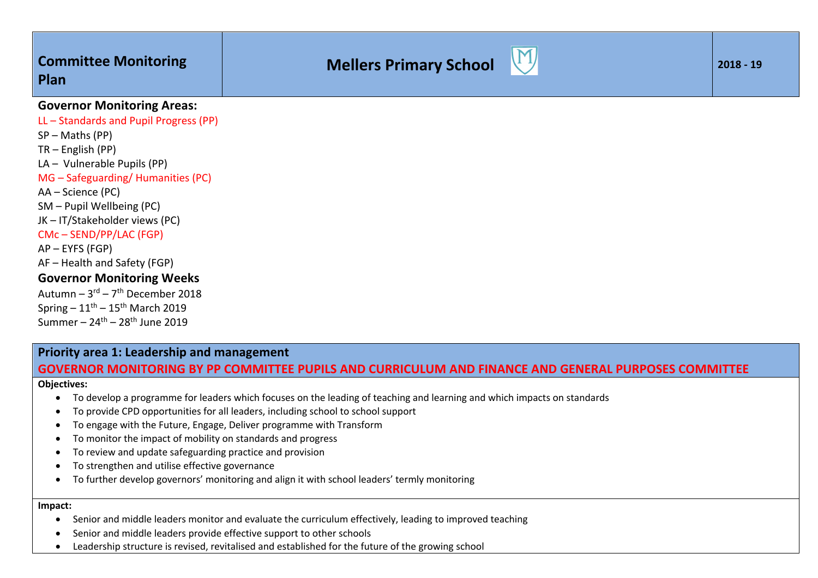# **Mellers Primary School**



### **Governor Monitoring Areas:**

LL – Standards and Pupil Progress (PP) SP – Maths (PP) TR – English (PP) LA – Vulnerable Pupils (PP) MG – Safeguarding/ Humanities (PC) AA – Science (PC) SM – Pupil Wellbeing (PC) JK – IT/Stakeholder views (PC) CMc – SEND/PP/LAC (FGP) AP – EYFS (FGP) AF – Health and Safety (FGP) **Governor Monitoring Weeks** Autumn –  $3^{rd}$  –  $7^{th}$  December 2018 Spring –  $11^{\text{th}}$  –  $15^{\text{th}}$  March 2019 Summer –  $24<sup>th</sup>$  –  $28<sup>th</sup>$  June 2019

### **Priority area 1: Leadership and management GOVERNOR MONITORING BY PP COMMITTEE PUPILS AND CURRICULUM AND FINANCE AND GENERAL PURPOSES COMMITTEE**

### **Objectives:**

- To develop a programme for leaders which focuses on the leading of teaching and learning and which impacts on standards
- To provide CPD opportunities for all leaders, including school to school support
- To engage with the Future, Engage, Deliver programme with Transform
- To monitor the impact of mobility on standards and progress
- To review and update safeguarding practice and provision
- To strengthen and utilise effective governance
- To further develop governors' monitoring and align it with school leaders' termly monitoring

### **Impact:**

- Senior and middle leaders monitor and evaluate the curriculum effectively, leading to improved teaching
- Senior and middle leaders provide effective support to other schools
- Leadership structure is revised, revitalised and established for the future of the growing school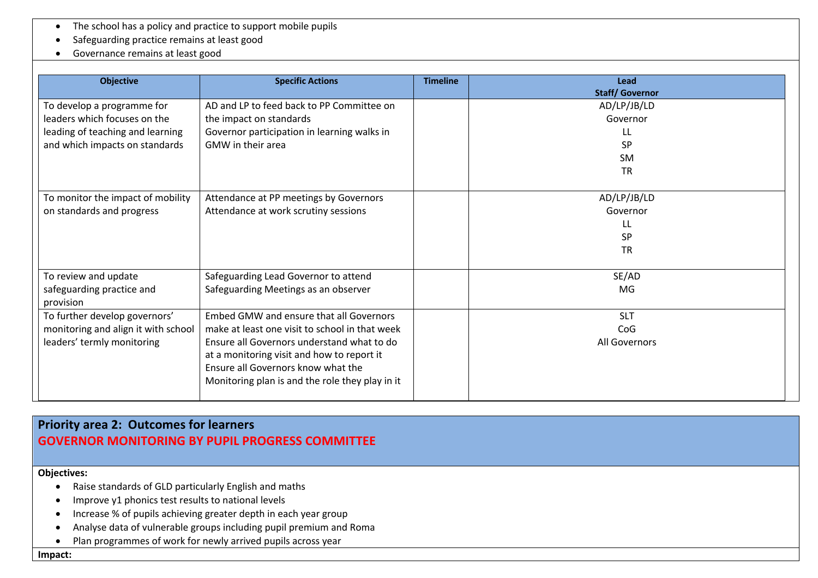- The school has a policy and practice to support mobile pupils
- Safeguarding practice remains at least good
- Governance remains at least good

| <b>Objective</b>                                                                                                                 | <b>Specific Actions</b>                                                                                                                                                                                                                                                        | <b>Timeline</b> | Lead<br><b>Staff/Governor</b>                                         |
|----------------------------------------------------------------------------------------------------------------------------------|--------------------------------------------------------------------------------------------------------------------------------------------------------------------------------------------------------------------------------------------------------------------------------|-----------------|-----------------------------------------------------------------------|
| To develop a programme for<br>leaders which focuses on the<br>leading of teaching and learning<br>and which impacts on standards | AD and LP to feed back to PP Committee on<br>the impact on standards<br>Governor participation in learning walks in<br><b>GMW</b> in their area                                                                                                                                |                 | AD/LP/JB/LD<br>Governor<br>LL.<br><b>SP</b><br><b>SM</b><br><b>TR</b> |
| To monitor the impact of mobility<br>on standards and progress                                                                   | Attendance at PP meetings by Governors<br>Attendance at work scrutiny sessions                                                                                                                                                                                                 |                 | AD/LP/JB/LD<br>Governor<br>LL<br><b>SP</b><br><b>TR</b>               |
| To review and update<br>safeguarding practice and<br>provision                                                                   | Safeguarding Lead Governor to attend<br>Safeguarding Meetings as an observer                                                                                                                                                                                                   |                 | SE/AD<br>MG                                                           |
| To further develop governors'<br>monitoring and align it with school<br>leaders' termly monitoring                               | Embed GMW and ensure that all Governors<br>make at least one visit to school in that week<br>Ensure all Governors understand what to do<br>at a monitoring visit and how to report it<br>Ensure all Governors know what the<br>Monitoring plan is and the role they play in it |                 | <b>SLT</b><br>CoG<br>All Governors                                    |

# **Priority area 2: Outcomes for learners GOVERNOR MONITORING BY PUPIL PROGRESS COMMITTEE**

#### **Objectives:**

- Raise standards of GLD particularly English and maths
- Improve y1 phonics test results to national levels
- Increase % of pupils achieving greater depth in each year group
- Analyse data of vulnerable groups including pupil premium and Roma
- Plan programmes of work for newly arrived pupils across year

**Impact:**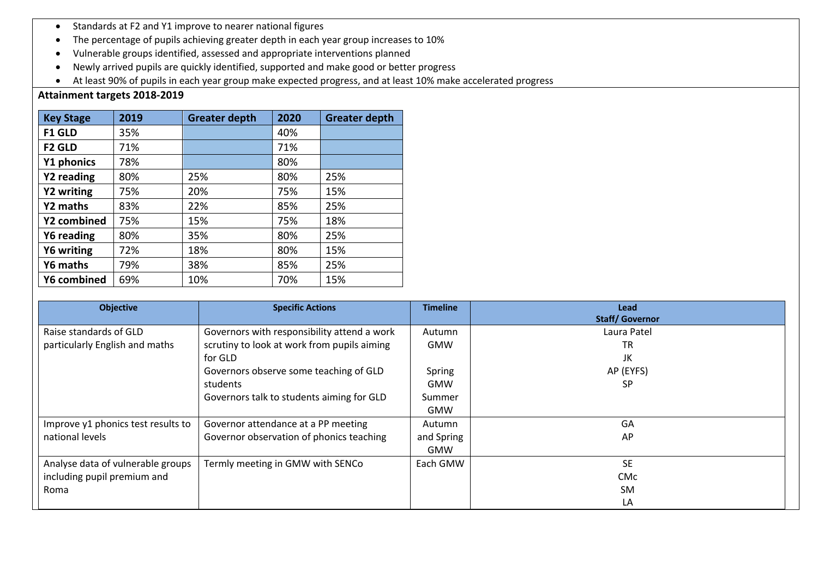- Standards at F2 and Y1 improve to nearer national figures
- The percentage of pupils achieving greater depth in each year group increases to 10%
- Vulnerable groups identified, assessed and appropriate interventions planned
- Newly arrived pupils are quickly identified, supported and make good or better progress
- At least 90% of pupils in each year group make expected progress, and at least 10% make accelerated progress

### **Attainment targets 2018-2019**

| <b>Key Stage</b> | 2019 | <b>Greater depth</b> | 2020 | <b>Greater depth</b> |
|------------------|------|----------------------|------|----------------------|
| <b>F1 GLD</b>    | 35%  |                      | 40%  |                      |
| <b>F2 GLD</b>    | 71%  |                      | 71%  |                      |
| Y1 phonics       | 78%  |                      | 80%  |                      |
| Y2 reading       | 80%  | 25%                  | 80%  | 25%                  |
| Y2 writing       | 75%  | 20%                  | 75%  | 15%                  |
| Y2 maths         | 83%  | 22%                  | 85%  | 25%                  |
| Y2 combined      | 75%  | 15%                  | 75%  | 18%                  |
| Y6 reading       | 80%  | 35%                  | 80%  | 25%                  |
| Y6 writing       | 72%  | 18%                  | 80%  | 15%                  |
| Y6 maths         | 79%  | 38%                  | 85%  | 25%                  |
| Y6 combined      | 69%  | 10%                  | 70%  | 15%                  |

| <b>Objective</b>                   | <b>Specific Actions</b>                     | <b>Timeline</b> | <b>Lead</b><br><b>Staff/Governor</b> |
|------------------------------------|---------------------------------------------|-----------------|--------------------------------------|
| Raise standards of GLD             | Governors with responsibility attend a work | Autumn          | Laura Patel                          |
| particularly English and maths     | scrutiny to look at work from pupils aiming | <b>GMW</b>      | <b>TR</b>                            |
|                                    |                                             |                 |                                      |
|                                    | for GLD                                     |                 | JK                                   |
|                                    | Governors observe some teaching of GLD      | Spring          | AP (EYFS)                            |
|                                    | students                                    | <b>GMW</b>      | <b>SP</b>                            |
|                                    | Governors talk to students aiming for GLD   | Summer          |                                      |
|                                    |                                             | <b>GMW</b>      |                                      |
| Improve y1 phonics test results to | Governor attendance at a PP meeting         | Autumn          | GA                                   |
| national levels                    | Governor observation of phonics teaching    | and Spring      | AP                                   |
|                                    |                                             | <b>GMW</b>      |                                      |
| Analyse data of vulnerable groups  | Termly meeting in GMW with SENCo            | Each GMW        | <b>SE</b>                            |
| including pupil premium and        |                                             |                 | <b>CMc</b>                           |
| Roma                               |                                             |                 | <b>SM</b>                            |
|                                    |                                             |                 | LA                                   |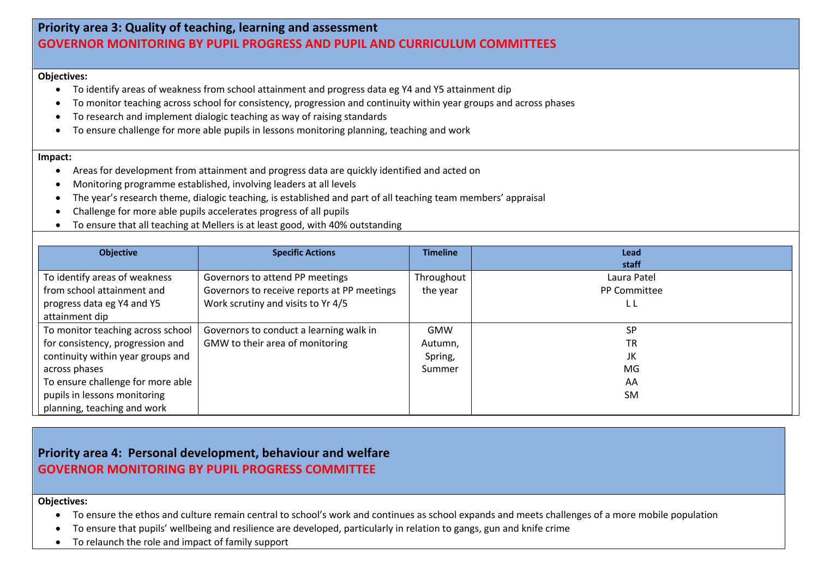## **Priority area 3: Quality of teaching, learning and assessment GOVERNOR MONITORING BY PUPIL PROGRESS AND PUPIL AND CURRICULUM COMMITTEES**

#### **Objectives:**

- To identify areas of weakness from school attainment and progress data eg Y4 and Y5 attainment dip
- To monitor teaching across school for consistency, progression and continuity within year groups and across phases
- To research and implement dialogic teaching as way of raising standards
- To ensure challenge for more able pupils in lessons monitoring planning, teaching and work

#### **Impact:**

- Areas for development from attainment and progress data are quickly identified and acted on
- Monitoring programme established, involving leaders at all levels
- The year's research theme, dialogic teaching, is established and part of all teaching team members' appraisal
- Challenge for more able pupils accelerates progress of all pupils
- To ensure that all teaching at Mellers is at least good, with 40% outstanding

| <b>Objective</b>                  | <b>Specific Actions</b>                     | <b>Timeline</b> | Lead                |
|-----------------------------------|---------------------------------------------|-----------------|---------------------|
|                                   |                                             |                 | staff               |
| To identify areas of weakness     | Governors to attend PP meetings             | Throughout      | Laura Patel         |
| from school attainment and        | Governors to receive reports at PP meetings | the year        | <b>PP Committee</b> |
| progress data eg Y4 and Y5        | Work scrutiny and visits to Yr 4/5          |                 | LΙ                  |
| attainment dip                    |                                             |                 |                     |
| To monitor teaching across school | Governors to conduct a learning walk in     | <b>GMW</b>      | <b>SP</b>           |
| for consistency, progression and  | GMW to their area of monitoring             | Autumn,         | <b>TR</b>           |
| continuity within year groups and |                                             | Spring,         | JK                  |
| across phases                     |                                             | Summer          | <b>MG</b>           |
| To ensure challenge for more able |                                             |                 | AA                  |
| pupils in lessons monitoring      |                                             |                 | <b>SM</b>           |
| planning, teaching and work       |                                             |                 |                     |

## **Priority area 4: Personal development, behaviour and welfare GOVERNOR MONITORING BY PUPIL PROGRESS COMMITTEE**

#### **Objectives:**

- To ensure the ethos and culture remain central to school's work and continues as school expands and meets challenges of a more mobile population
- To ensure that pupils' wellbeing and resilience are developed, particularly in relation to gangs, gun and knife crime
- To relaunch the role and impact of family support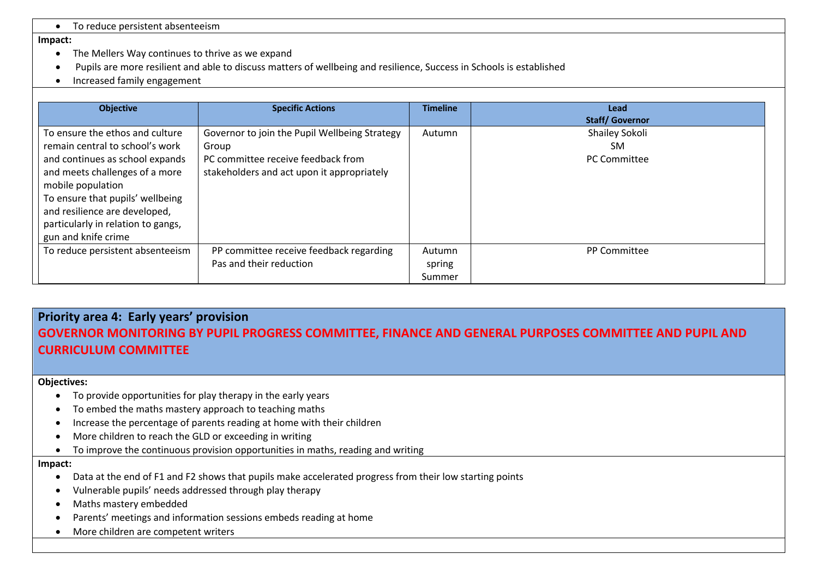• To reduce persistent absenteeism

#### **Impact:**

- The Mellers Way continues to thrive as we expand
- Pupils are more resilient and able to discuss matters of wellbeing and resilience, Success in Schools is established
- Increased family engagement

| <b>Objective</b>                                                                                                                                                                                                                                                                               | <b>Specific Actions</b>                                                                                                                    | <b>Timeline</b>            | Lead<br><b>Staff/Governor</b>                      |
|------------------------------------------------------------------------------------------------------------------------------------------------------------------------------------------------------------------------------------------------------------------------------------------------|--------------------------------------------------------------------------------------------------------------------------------------------|----------------------------|----------------------------------------------------|
| To ensure the ethos and culture<br>remain central to school's work<br>and continues as school expands<br>and meets challenges of a more<br>mobile population<br>To ensure that pupils' wellbeing<br>and resilience are developed,<br>particularly in relation to gangs,<br>gun and knife crime | Governor to join the Pupil Wellbeing Strategy<br>Group<br>PC committee receive feedback from<br>stakeholders and act upon it appropriately | Autumn                     | Shailey Sokoli<br><b>SM</b><br><b>PC Committee</b> |
| To reduce persistent absenteeism                                                                                                                                                                                                                                                               | PP committee receive feedback regarding<br>Pas and their reduction                                                                         | Autumn<br>spring<br>Summer | <b>PP Committee</b>                                |

# **Priority area 4: Early years' provision GOVERNOR MONITORING BY PUPIL PROGRESS COMMITTEE, FINANCE AND GENERAL PURPOSES COMMITTEE AND PUPIL AND CURRICULUM COMMITTEE**

#### **Objectives:**

- To provide opportunities for play therapy in the early years
- To embed the maths mastery approach to teaching maths
- Increase the percentage of parents reading at home with their children
- More children to reach the GLD or exceeding in writing
- To improve the continuous provision opportunities in maths, reading and writing

#### **Impact:**

- Data at the end of F1 and F2 shows that pupils make accelerated progress from their low starting points
- Vulnerable pupils' needs addressed through play therapy
- Maths mastery embedded
- Parents' meetings and information sessions embeds reading at home
- More children are competent writers